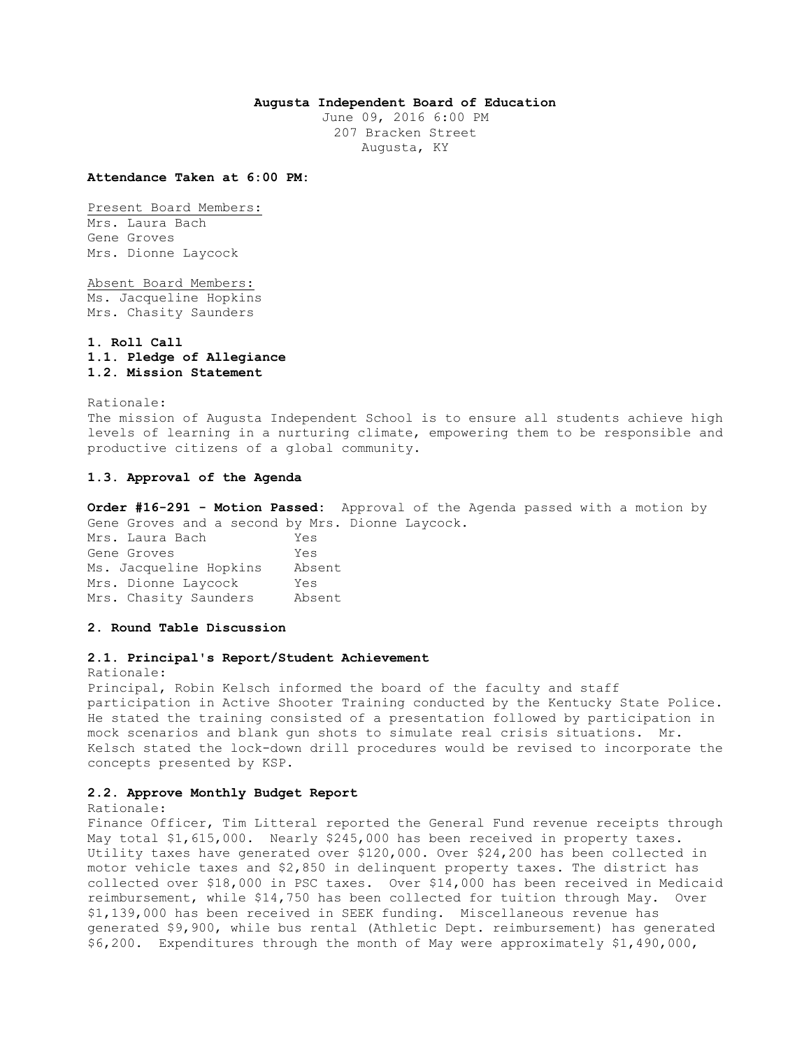# **Augusta Independent Board of Education**

June 09, 2016 6:00 PM 207 Bracken Street Augusta, KY

#### **Attendance Taken at 6:00 PM:**

Present Board Members: Mrs. Laura Bach Gene Groves Mrs. Dionne Laycock

Absent Board Members: Ms. Jacqueline Hopkins Mrs. Chasity Saunders

**1. Roll Call 1.1. Pledge of Allegiance 1.2. Mission Statement** 

Rationale: The mission of Augusta Independent School is to ensure all students achieve high levels of learning in a nurturing climate, empowering them to be responsible and productive citizens of a global community.

## **1.3. Approval of the Agenda**

**Order #16-291 - Motion Passed:** Approval of the Agenda passed with a motion by Gene Groves and a second by Mrs. Dionne Laycock.

Mrs. Laura Bach Yes Gene Groves Yes Ms. Jacqueline Hopkins Absent Mrs. Dionne Laycock Yes Mrs. Chasity Saunders Absent

**2. Round Table Discussion** 

## **2.1. Principal's Report/Student Achievement**

Rationale:

Principal, Robin Kelsch informed the board of the faculty and staff participation in Active Shooter Training conducted by the Kentucky State Police. He stated the training consisted of a presentation followed by participation in mock scenarios and blank gun shots to simulate real crisis situations. Mr. Kelsch stated the lock-down drill procedures would be revised to incorporate the concepts presented by KSP.

# **2.2. Approve Monthly Budget Report**

Rationale:

Finance Officer, Tim Litteral reported the General Fund revenue receipts through May total \$1,615,000. Nearly \$245,000 has been received in property taxes. Utility taxes have generated over \$120,000. Over \$24,200 has been collected in motor vehicle taxes and \$2,850 in delinquent property taxes. The district has collected over \$18,000 in PSC taxes. Over \$14,000 has been received in Medicaid reimbursement, while \$14,750 has been collected for tuition through May. Over \$1,139,000 has been received in SEEK funding. Miscellaneous revenue has generated \$9,900, while bus rental (Athletic Dept. reimbursement) has generated \$6,200. Expenditures through the month of May were approximately \$1,490,000,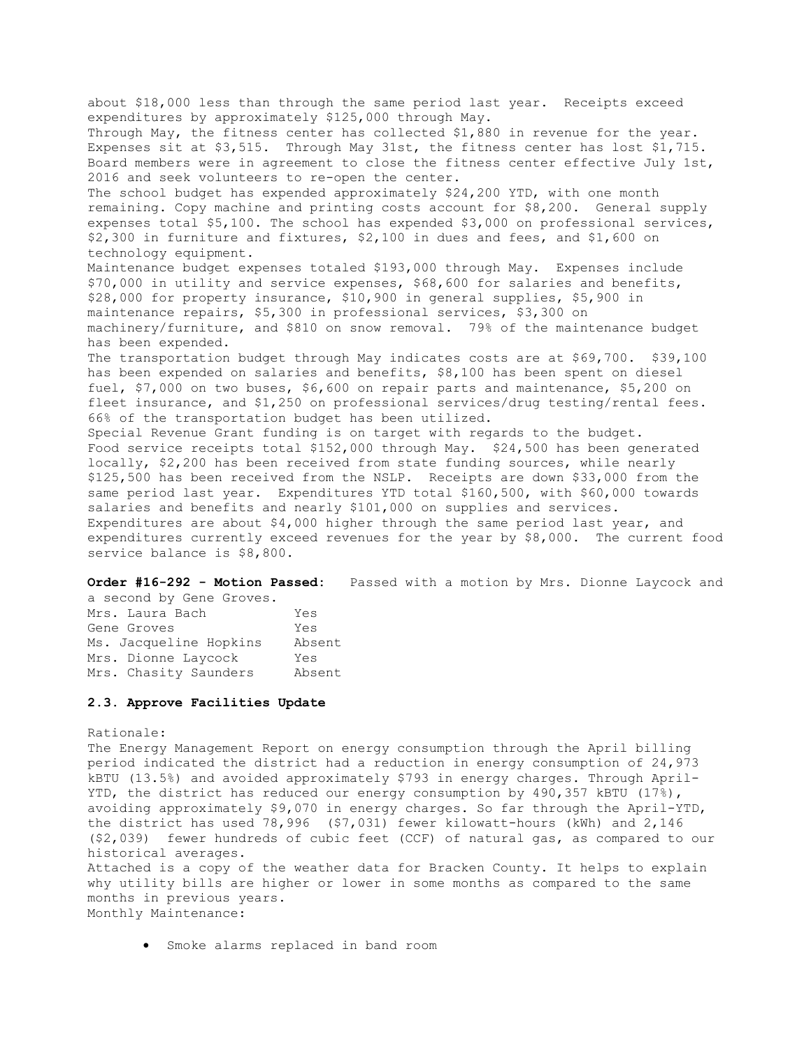about \$18,000 less than through the same period last year. Receipts exceed expenditures by approximately \$125,000 through May. Through May, the fitness center has collected \$1,880 in revenue for the year. Expenses sit at \$3,515. Through May 31st, the fitness center has lost \$1,715. Board members were in agreement to close the fitness center effective July 1st, 2016 and seek volunteers to re-open the center. The school budget has expended approximately \$24,200 YTD, with one month remaining. Copy machine and printing costs account for \$8,200. General supply expenses total \$5,100. The school has expended \$3,000 on professional services, \$2,300 in furniture and fixtures, \$2,100 in dues and fees, and \$1,600 on technology equipment. Maintenance budget expenses totaled \$193,000 through May. Expenses include \$70,000 in utility and service expenses, \$68,600 for salaries and benefits, \$28,000 for property insurance, \$10,900 in general supplies, \$5,900 in maintenance repairs, \$5,300 in professional services, \$3,300 on machinery/furniture, and \$810 on snow removal. 79% of the maintenance budget has been expended. The transportation budget through May indicates costs are at \$69,700. \$39,100 has been expended on salaries and benefits, \$8,100 has been spent on diesel fuel, \$7,000 on two buses, \$6,600 on repair parts and maintenance, \$5,200 on fleet insurance, and \$1,250 on professional services/drug testing/rental fees. 66% of the transportation budget has been utilized. Special Revenue Grant funding is on target with regards to the budget. Food service receipts total \$152,000 through May. \$24,500 has been generated locally, \$2,200 has been received from state funding sources, while nearly \$125,500 has been received from the NSLP. Receipts are down \$33,000 from the same period last year. Expenditures YTD total \$160,500, with \$60,000 towards salaries and benefits and nearly \$101,000 on supplies and services. Expenditures are about \$4,000 higher through the same period last year, and expenditures currently exceed revenues for the year by \$8,000. The current food service balance is \$8,800.

**Order #16-292 - Motion Passed:** Passed with a motion by Mrs. Dionne Laycock and

| a second by Gene Groves. |        |
|--------------------------|--------|
| Mrs. Laura Bach          | Yes    |
| Gene Groves              | Yes    |
| Ms. Jacqueline Hopkins   | Absent |
| Mrs. Dionne Laycock      | Yes    |
| Mrs. Chasity Saunders    | Absent |

### **2.3. Approve Facilities Update**

#### Rationale:

The Energy Management Report on energy consumption through the April billing period indicated the district had a reduction in energy consumption of 24,973 kBTU (13.5%) and avoided approximately \$793 in energy charges. Through April-YTD, the district has reduced our energy consumption by 490,357 kBTU (17%), avoiding approximately \$9,070 in energy charges. So far through the April-YTD, the district has used 78,996 (\$7,031) fewer kilowatt-hours (kWh) and 2,146 (\$2,039) fewer hundreds of cubic feet (CCF) of natural gas, as compared to our historical averages.

Attached is a copy of the weather data for Bracken County. It helps to explain why utility bills are higher or lower in some months as compared to the same months in previous years. Monthly Maintenance:

Smoke alarms replaced in band room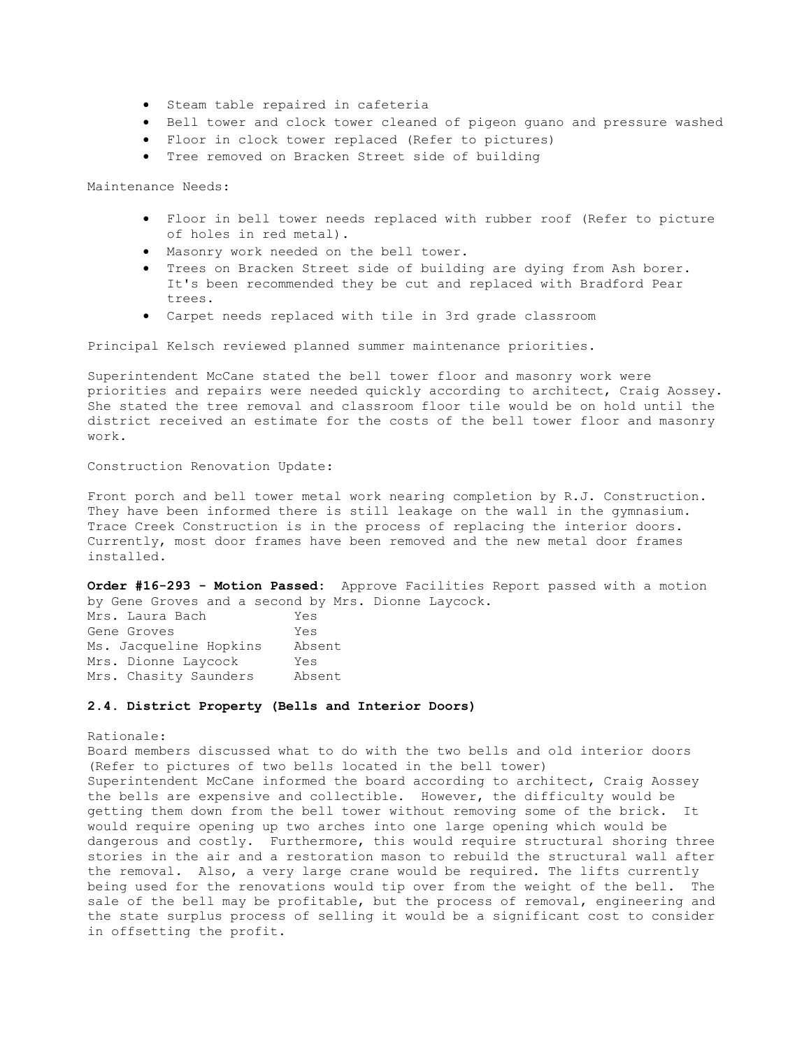- **•** Steam table repaired in cafeteria
- Bell tower and clock tower cleaned of pigeon guano and pressure washed
- Floor in clock tower replaced (Refer to pictures)
- Tree removed on Bracken Street side of building

Maintenance Needs:

- Floor in bell tower needs replaced with rubber roof (Refer to picture of holes in red metal).
- Masonry work needed on the bell tower.
- Trees on Bracken Street side of building are dying from Ash borer. It's been recommended they be cut and replaced with Bradford Pear trees.
- Carpet needs replaced with tile in 3rd grade classroom

Principal Kelsch reviewed planned summer maintenance priorities.

Superintendent McCane stated the bell tower floor and masonry work were priorities and repairs were needed quickly according to architect, Craig Aossey. She stated the tree removal and classroom floor tile would be on hold until the district received an estimate for the costs of the bell tower floor and masonry work.

Construction Renovation Update:

Front porch and bell tower metal work nearing completion by R.J. Construction. They have been informed there is still leakage on the wall in the gymnasium. Trace Creek Construction is in the process of replacing the interior doors. Currently, most door frames have been removed and the new metal door frames installed.

**Order #16-293 - Motion Passed:** Approve Facilities Report passed with a motion by Gene Groves and a second by Mrs. Dionne Laycock.

| Mrs. Laura Bach        | Yes    |
|------------------------|--------|
| Gene Groves            | Yes    |
| Ms. Jacqueline Hopkins | Absent |
| Mrs. Dionne Laycock    | Yes    |
| Mrs. Chasity Saunders  | Absent |

## **2.4. District Property (Bells and Interior Doors)**

# Rationale:

Board members discussed what to do with the two bells and old interior doors (Refer to pictures of two bells located in the bell tower) Superintendent McCane informed the board according to architect, Craig Aossey the bells are expensive and collectible. However, the difficulty would be getting them down from the bell tower without removing some of the brick. It would require opening up two arches into one large opening which would be dangerous and costly. Furthermore, this would require structural shoring three stories in the air and a restoration mason to rebuild the structural wall after the removal. Also, a very large crane would be required. The lifts currently being used for the renovations would tip over from the weight of the bell. The sale of the bell may be profitable, but the process of removal, engineering and the state surplus process of selling it would be a significant cost to consider in offsetting the profit.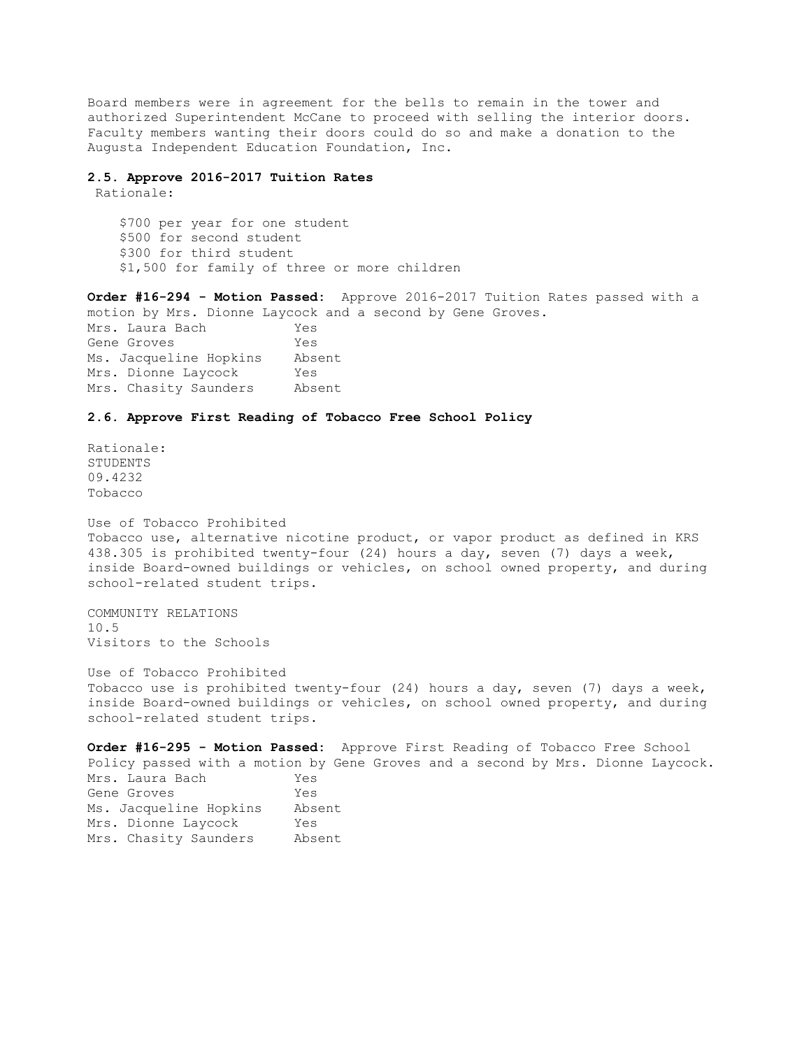Board members were in agreement for the bells to remain in the tower and authorized Superintendent McCane to proceed with selling the interior doors. Faculty members wanting their doors could do so and make a donation to the Augusta Independent Education Foundation, Inc.

### **2.5. Approve 2016-2017 Tuition Rates**

Rationale:

 \$700 per year for one student \$500 for second student \$300 for third student \$1,500 for family of three or more children

**Order #16-294 - Motion Passed:** Approve 2016-2017 Tuition Rates passed with a motion by Mrs. Dionne Laycock and a second by Gene Groves. Mrs. Laura Bach Yes Gene Groves Yes Ms. Jacqueline Hopkins Absent Mrs. Dionne Laycock Yes Mrs. Chasity Saunders Absent

# **2.6. Approve First Reading of Tobacco Free School Policy**

Rationale: STUDENTS 09.4232 Tobacco

Use of Tobacco Prohibited Tobacco use, alternative nicotine product, or vapor product as defined in KRS 438.305 is prohibited twenty-four (24) hours a day, seven (7) days a week, inside Board-owned buildings or vehicles, on school owned property, and during school-related student trips.

COMMUNITY RELATIONS 10.5 Visitors to the Schools

Use of Tobacco Prohibited Tobacco use is prohibited twenty-four (24) hours a day, seven (7) days a week, inside Board-owned buildings or vehicles, on school owned property, and during school-related student trips.

**Order #16-295 - Motion Passed:** Approve First Reading of Tobacco Free School Policy passed with a motion by Gene Groves and a second by Mrs. Dionne Laycock. Mrs. Laura Bach Yes Gene Groves Yes Ms. Jacqueline Hopkins Absent Mrs. Dionne Laycock Yes Mrs. Chasity Saunders Absent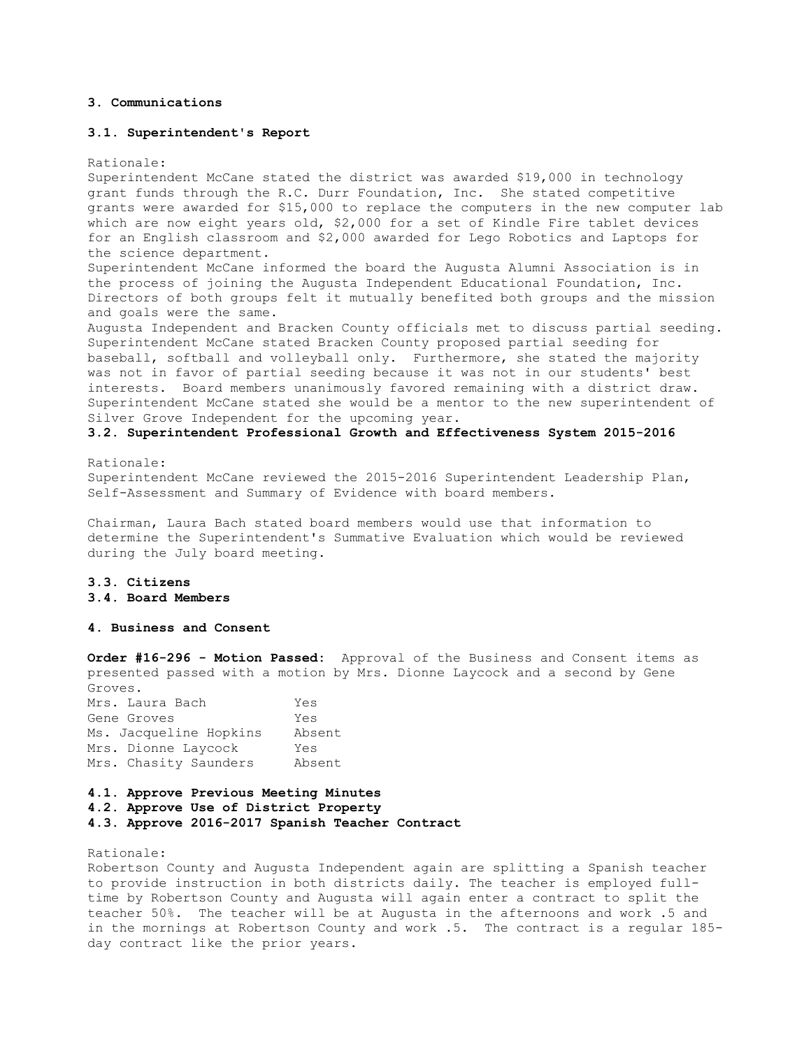# **3. Communications**

#### **3.1. Superintendent's Report**

Rationale:

Superintendent McCane stated the district was awarded \$19,000 in technology grant funds through the R.C. Durr Foundation, Inc. She stated competitive grants were awarded for \$15,000 to replace the computers in the new computer lab which are now eight years old, \$2,000 for a set of Kindle Fire tablet devices for an English classroom and \$2,000 awarded for Lego Robotics and Laptops for the science department.

Superintendent McCane informed the board the Augusta Alumni Association is in the process of joining the Augusta Independent Educational Foundation, Inc. Directors of both groups felt it mutually benefited both groups and the mission and goals were the same.

Augusta Independent and Bracken County officials met to discuss partial seeding. Superintendent McCane stated Bracken County proposed partial seeding for baseball, softball and volleyball only. Furthermore, she stated the majority was not in favor of partial seeding because it was not in our students' best interests. Board members unanimously favored remaining with a district draw. Superintendent McCane stated she would be a mentor to the new superintendent of Silver Grove Independent for the upcoming year.

# **3.2. Superintendent Professional Growth and Effectiveness System 2015-2016**

Rationale:

Superintendent McCane reviewed the 2015-2016 Superintendent Leadership Plan, Self-Assessment and Summary of Evidence with board members.

Chairman, Laura Bach stated board members would use that information to determine the Superintendent's Summative Evaluation which would be reviewed during the July board meeting.

# **3.3. Citizens**

# **3.4. Board Members**

## **4. Business and Consent**

**Order #16-296 - Motion Passed:** Approval of the Business and Consent items as presented passed with a motion by Mrs. Dionne Laycock and a second by Gene Groves.

| Mrs. Laura Bach        | Yes    |
|------------------------|--------|
| Gene Groves            | Yes    |
| Ms. Jacqueline Hopkins | Absent |
| Mrs. Dionne Laycock    | Yes    |
| Mrs. Chasity Saunders  | Absent |

#### **4.1. Approve Previous Meeting Minutes**

**4.2. Approve Use of District Property** 

**4.3. Approve 2016-2017 Spanish Teacher Contract** 

## Rationale:

Robertson County and Augusta Independent again are splitting a Spanish teacher to provide instruction in both districts daily. The teacher is employed fulltime by Robertson County and Augusta will again enter a contract to split the teacher 50%. The teacher will be at Augusta in the afternoons and work .5 and in the mornings at Robertson County and work .5. The contract is a regular 185 day contract like the prior years.